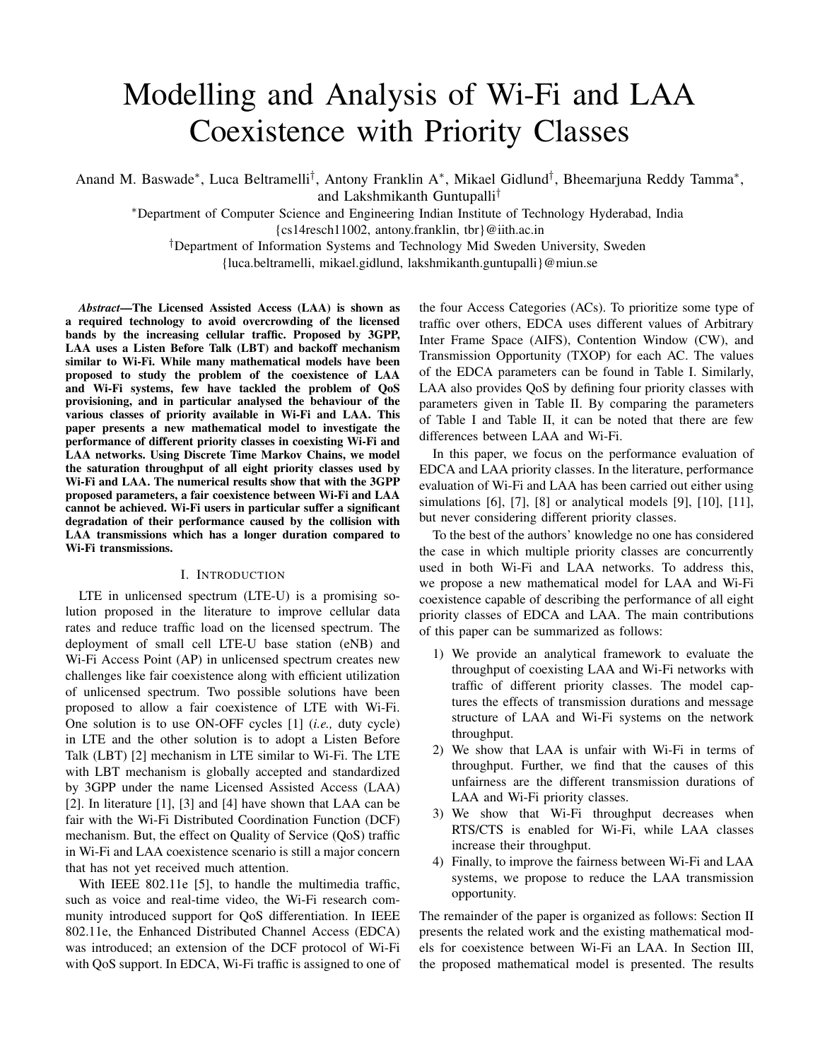# Modelling and Analysis of Wi-Fi and LAA Coexistence with Priority Classes

Anand M. Baswade<sup>∗</sup>, Luca Beltramelli<sup>†</sup>, Antony Franklin A<sup>∗</sup>, Mikael Gidlund<sup>†</sup>, Bheemarjuna Reddy Tamma<sup>∗</sup>, and Lakshmikanth Guntupalli†

<sup>∗</sup>Department of Computer Science and Engineering Indian Institute of Technology Hyderabad, India {cs14resch11002, antony.franklin, tbr}@iith.ac.in

†Department of Information Systems and Technology Mid Sweden University, Sweden {luca.beltramelli, mikael.gidlund, lakshmikanth.guntupalli}@miun.se

*Abstract*—The Licensed Assisted Access (LAA) is shown as a required technology to avoid overcrowding of the licensed bands by the increasing cellular traffic. Proposed by 3GPP, LAA uses a Listen Before Talk (LBT) and backoff mechanism similar to Wi-Fi. While many mathematical models have been proposed to study the problem of the coexistence of LAA and Wi-Fi systems, few have tackled the problem of QoS provisioning, and in particular analysed the behaviour of the various classes of priority available in Wi-Fi and LAA. This paper presents a new mathematical model to investigate the performance of different priority classes in coexisting Wi-Fi and LAA networks. Using Discrete Time Markov Chains, we model the saturation throughput of all eight priority classes used by Wi-Fi and LAA. The numerical results show that with the 3GPP proposed parameters, a fair coexistence between Wi-Fi and LAA cannot be achieved. Wi-Fi users in particular suffer a significant degradation of their performance caused by the collision with LAA transmissions which has a longer duration compared to Wi-Fi transmissions.

## I. INTRODUCTION

LTE in unlicensed spectrum (LTE-U) is a promising solution proposed in the literature to improve cellular data rates and reduce traffic load on the licensed spectrum. The deployment of small cell LTE-U base station (eNB) and Wi-Fi Access Point (AP) in unlicensed spectrum creates new challenges like fair coexistence along with efficient utilization of unlicensed spectrum. Two possible solutions have been proposed to allow a fair coexistence of LTE with Wi-Fi. One solution is to use ON-OFF cycles [1] (*i.e.,* duty cycle) in LTE and the other solution is to adopt a Listen Before Talk (LBT) [2] mechanism in LTE similar to Wi-Fi. The LTE with LBT mechanism is globally accepted and standardized by 3GPP under the name Licensed Assisted Access (LAA) [2]. In literature [1], [3] and [4] have shown that LAA can be fair with the Wi-Fi Distributed Coordination Function (DCF) mechanism. But, the effect on Quality of Service (QoS) traffic in Wi-Fi and LAA coexistence scenario is still a major concern that has not yet received much attention.

With IEEE 802.11e [5], to handle the multimedia traffic, such as voice and real-time video, the Wi-Fi research community introduced support for QoS differentiation. In IEEE 802.11e, the Enhanced Distributed Channel Access (EDCA) was introduced; an extension of the DCF protocol of Wi-Fi with QoS support. In EDCA, Wi-Fi traffic is assigned to one of the four Access Categories (ACs). To prioritize some type of traffic over others, EDCA uses different values of Arbitrary Inter Frame Space (AIFS), Contention Window (CW), and Transmission Opportunity (TXOP) for each AC. The values of the EDCA parameters can be found in Table I. Similarly, LAA also provides QoS by defining four priority classes with parameters given in Table II. By comparing the parameters of Table I and Table II, it can be noted that there are few differences between LAA and Wi-Fi.

In this paper, we focus on the performance evaluation of EDCA and LAA priority classes. In the literature, performance evaluation of Wi-Fi and LAA has been carried out either using simulations [6], [7], [8] or analytical models [9], [10], [11], but never considering different priority classes.

To the best of the authors' knowledge no one has considered the case in which multiple priority classes are concurrently used in both Wi-Fi and LAA networks. To address this, we propose a new mathematical model for LAA and Wi-Fi coexistence capable of describing the performance of all eight priority classes of EDCA and LAA. The main contributions of this paper can be summarized as follows:

- 1) We provide an analytical framework to evaluate the throughput of coexisting LAA and Wi-Fi networks with traffic of different priority classes. The model captures the effects of transmission durations and message structure of LAA and Wi-Fi systems on the network throughput.
- 2) We show that LAA is unfair with Wi-Fi in terms of throughput. Further, we find that the causes of this unfairness are the different transmission durations of LAA and Wi-Fi priority classes.
- 3) We show that Wi-Fi throughput decreases when RTS/CTS is enabled for Wi-Fi, while LAA classes increase their throughput.
- 4) Finally, to improve the fairness between Wi-Fi and LAA systems, we propose to reduce the LAA transmission opportunity.

The remainder of the paper is organized as follows: Section II presents the related work and the existing mathematical models for coexistence between Wi-Fi an LAA. In Section III, the proposed mathematical model is presented. The results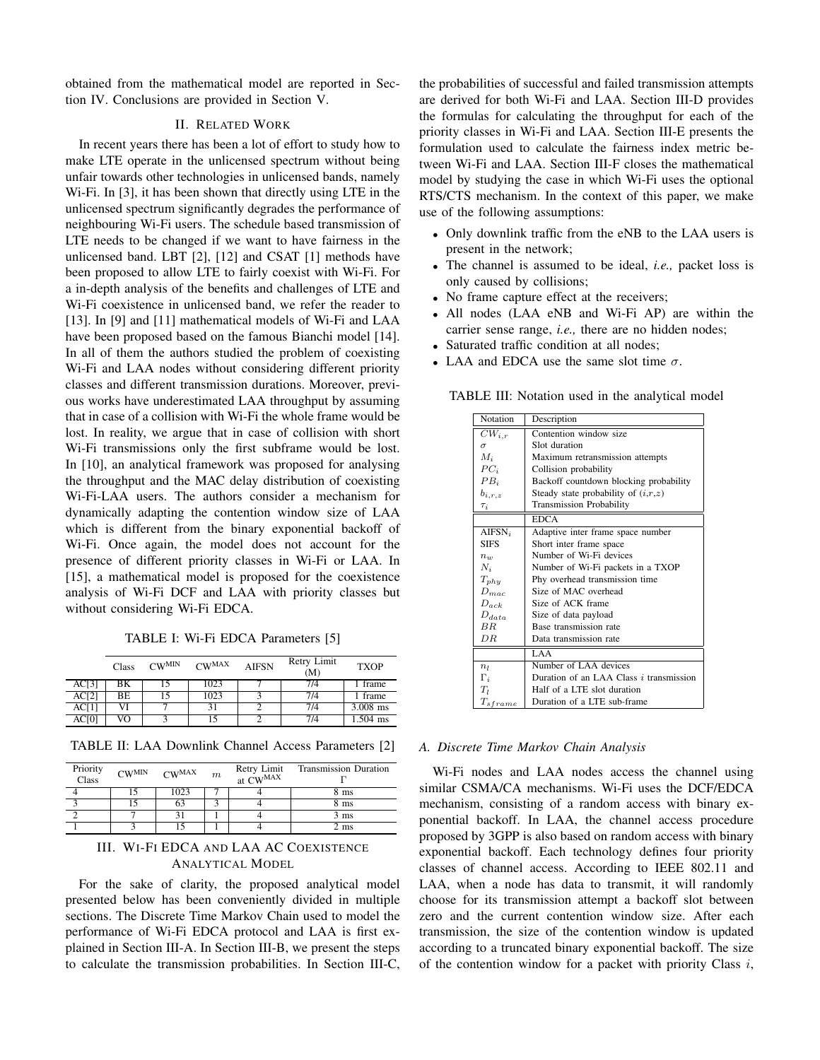obtained from the mathematical model are reported in Section IV. Conclusions are provided in Section V.

# II. RELATED WORK

In recent years there has been a lot of effort to study how to make LTE operate in the unlicensed spectrum without being unfair towards other technologies in unlicensed bands, namely Wi-Fi. In [3], it has been shown that directly using LTE in the unlicensed spectrum significantly degrades the performance of neighbouring Wi-Fi users. The schedule based transmission of LTE needs to be changed if we want to have fairness in the unlicensed band. LBT [2], [12] and CSAT [1] methods have been proposed to allow LTE to fairly coexist with Wi-Fi. For a in-depth analysis of the benefits and challenges of LTE and Wi-Fi coexistence in unlicensed band, we refer the reader to [13]. In [9] and [11] mathematical models of Wi-Fi and LAA have been proposed based on the famous Bianchi model [14]. In all of them the authors studied the problem of coexisting Wi-Fi and LAA nodes without considering different priority classes and different transmission durations. Moreover, previous works have underestimated LAA throughput by assuming that in case of a collision with Wi-Fi the whole frame would be lost. In reality, we argue that in case of collision with short Wi-Fi transmissions only the first subframe would be lost. In [10], an analytical framework was proposed for analysing the throughput and the MAC delay distribution of coexisting Wi-Fi-LAA users. The authors consider a mechanism for dynamically adapting the contention window size of LAA which is different from the binary exponential backoff of Wi-Fi. Once again, the model does not account for the presence of different priority classes in Wi-Fi or LAA. In [15], a mathematical model is proposed for the coexistence analysis of Wi-Fi DCF and LAA with priority classes but without considering Wi-Fi EDCA.

TABLE I: Wi-Fi EDCA Parameters [5]

|       | Class | $CW^{MIN}$ | $CW^{MAX}$ | <b>AIFSN</b> | Retry Limit<br>(M) | <b>TXOP</b> |
|-------|-------|------------|------------|--------------|--------------------|-------------|
| AC[3] | BΚ    |            | 1023       |              | 7/4                | frame       |
| AC[2] | BE.   | 15         | 1023       |              | 7/4                | 1 frame     |
| AC[1] | VI    |            | 31         |              | 7/4                | $3.008$ ms  |
| AC[0] | VO    | 2          | 15         |              | 7/4                | 1.504 ms    |

TABLE II: LAA Downlink Channel Access Parameters [2]

| Priority<br>Class | $CW^{MIN}$ $CW^{MAX}$ | $\boldsymbol{m}$ | Retry Limit<br>at CWMAX | <b>Transmission Duration</b> |
|-------------------|-----------------------|------------------|-------------------------|------------------------------|
|                   | 1023                  |                  |                         | 8 ms                         |
|                   | 63                    |                  |                         | 8 ms                         |
|                   |                       |                  |                         | 3 ms                         |
|                   |                       |                  |                         | 2 ms                         |

# III. WI-FI EDCA AND LAA AC COEXISTENCE ANALYTICAL MODEL

For the sake of clarity, the proposed analytical model presented below has been conveniently divided in multiple sections. The Discrete Time Markov Chain used to model the performance of Wi-Fi EDCA protocol and LAA is first explained in Section III-A. In Section III-B, we present the steps to calculate the transmission probabilities. In Section III-C,

the probabilities of successful and failed transmission attempts are derived for both Wi-Fi and LAA. Section III-D provides the formulas for calculating the throughput for each of the priority classes in Wi-Fi and LAA. Section III-E presents the formulation used to calculate the fairness index metric between Wi-Fi and LAA. Section III-F closes the mathematical model by studying the case in which Wi-Fi uses the optional RTS/CTS mechanism. In the context of this paper, we make use of the following assumptions:

- Only downlink traffic from the eNB to the LAA users is present in the network;
- The channel is assumed to be ideal, *i.e.,* packet loss is only caused by collisions;
- No frame capture effect at the receivers;
- All nodes (LAA eNB and Wi-Fi AP) are within the carrier sense range, *i.e.,* there are no hidden nodes;
- Saturated traffic condition at all nodes;
- LAA and EDCA use the same slot time  $\sigma$ .

TABLE III: Notation used in the analytical model

| Notation                 | Description                                    |  |
|--------------------------|------------------------------------------------|--|
| $CW_{i,r}$               | Contention window size                         |  |
| $\sigma$                 | Slot duration                                  |  |
| $M_i$                    | Maximum retransmission attempts                |  |
| $PC_i$                   | Collision probability                          |  |
| $PB_i$                   | Backoff countdown blocking probability         |  |
| $b_{i,r,z}$              | Steady state probability of $(i,r,z)$          |  |
| $\tau_i$                 | <b>Transmission Probability</b>                |  |
|                          | <b>EDCA</b>                                    |  |
| AIFSN <sub>i</sub>       | Adaptive inter frame space number              |  |
| <b>SIES</b>              | Short inter frame space                        |  |
| $n_{w}$                  | Number of Wi-Fi devices                        |  |
| $N_i$                    | Number of Wi-Fi packets in a TXOP              |  |
| $T_{phy}$                | Phy overhead transmission time                 |  |
| $D_{mac}$                | Size of MAC overhead                           |  |
| $D_{ack}$                | Size of ACK frame                              |  |
| $D_{data}$               | Size of data payload                           |  |
| $_{BR}$                  | Base transmission rate                         |  |
| DR                       | Data transmission rate                         |  |
|                          | LAA                                            |  |
| n <sub>l</sub>           | Number of LAA devices                          |  |
| $\Gamma_i$               | Duration of an LAA Class <i>i</i> transmission |  |
| $T_l$                    | Half of a LTE slot duration                    |  |
| $T_{sf\underline{rame}}$ | Duration of a LTE sub-frame                    |  |

#### *A. Discrete Time Markov Chain Analysis*

Wi-Fi nodes and LAA nodes access the channel using similar CSMA/CA mechanisms. Wi-Fi uses the DCF/EDCA mechanism, consisting of a random access with binary exponential backoff. In LAA, the channel access procedure proposed by 3GPP is also based on random access with binary exponential backoff. Each technology defines four priority classes of channel access. According to IEEE 802.11 and LAA, when a node has data to transmit, it will randomly choose for its transmission attempt a backoff slot between zero and the current contention window size. After each transmission, the size of the contention window is updated according to a truncated binary exponential backoff. The size of the contention window for a packet with priority Class  $i$ ,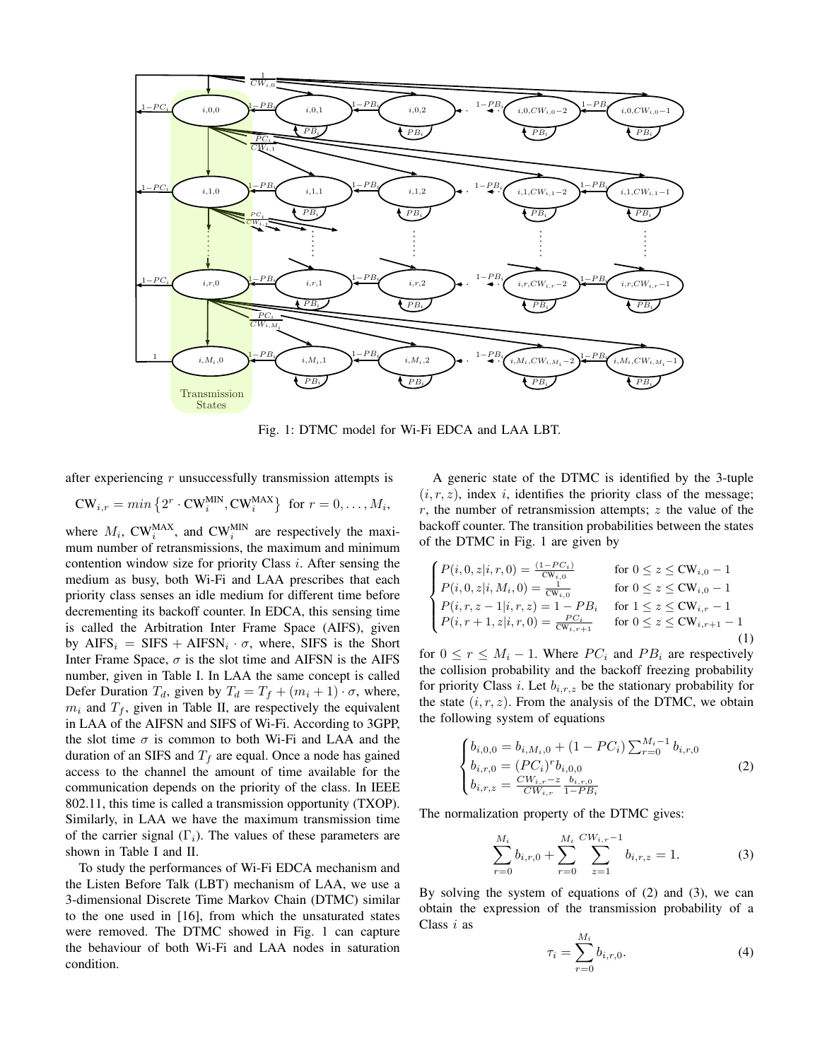

Fig. 1: DTMC model for Wi-Fi EDCA and LAA LBT.

after experiencing  $r$  unsuccessfully transmission attempts is

$$
CW_{i,r} = min\left\{2^r \cdot CW_i^{MIN}, CW_i^{MAX}\right\} \text{ for } r = 0, \dots, M_i,
$$

where  $M_i$ , CW<sup>MAX</sup>, and CW<sup>MIN</sup> are respectively the maximum number of retransmissions, the maximum and minimum contention window size for priority Class  $i$ . After sensing the medium as busy, both Wi-Fi and LAA prescribes that each priority class senses an idle medium for different time before decrementing its backoff counter. In EDCA, this sensing time is called the Arbitration Inter Frame Space (AIFS), given by  $AIFS_i = SIFS + AIFSN_i \cdot \sigma$ , where, SIFS is the Short Inter Frame Space,  $\sigma$  is the slot time and AIFSN is the AIFS number, given in Table I. In LAA the same concept is called Defer Duration  $T_d$ , given by  $T_d = T_f + (m_i + 1) \cdot \sigma$ , where,  $m_i$  and  $T_f$ , given in Table II, are respectively the equivalent in LAA of the AIFSN and SIFS of Wi-Fi. According to 3GPP, the slot time  $\sigma$  is common to both Wi-Fi and LAA and the duration of an SIFS and  $T_f$  are equal. Once a node has gained access to the channel the amount of time available for the communication depends on the priority of the class. In IEEE 802.11, this time is called a transmission opportunity (TXOP). Similarly, in LAA we have the maximum transmission time of the carrier signal  $(\Gamma_i)$ . The values of these parameters are shown in Table I and II.

To study the performances of Wi-Fi EDCA mechanism and the Listen Before Talk (LBT) mechanism of LAA, we use a 3-dimensional Discrete Time Markov Chain (DTMC) similar to the one used in [16], from which the unsaturated states were removed. The DTMC showed in Fig. 1 can capture the behaviour of both Wi-Fi and LAA nodes in saturation condition.

A generic state of the DTMC is identified by the 3-tuple  $(i, r, z)$ , index i, identifies the priority class of the message; r, the number of retransmission attempts;  $z$  the value of the backoff counter. The transition probabilities between the states of the DTMC in Fig. 1 are given by

$$
\begin{cases}\nP(i, 0, z|i, r, 0) = \frac{(1 - PC_i)}{CW_{i,0}} & \text{for } 0 \le z \le CW_{i,0} - 1 \\
P(i, 0, z|i, M_i, 0) = \frac{1}{CW_{i,0}} & \text{for } 0 \le z \le CW_{i,0} - 1 \\
P(i, r, z - 1|i, r, z) = 1 - PB_i & \text{for } 1 \le z \le CW_{i,r} - 1 \\
P(i, r + 1, z|i, r, 0) = \frac{PC_i}{CW_{i,r+1}} & \text{for } 0 \le z \le CW_{i,r+1} - 1 \\
(1)\n\end{cases}
$$

for  $0 \le r \le M_i - 1$ . Where  $PC_i$  and  $PB_i$  are respectively the collision probability and the backoff freezing probability for priority Class i. Let  $b_{i,r,z}$  be the stationary probability for the state  $(i, r, z)$ . From the analysis of the DTMC, we obtain the following system of equations

$$
\begin{cases}\nb_{i,0,0} = b_{i,M_i,0} + (1 - PC_i) \sum_{r=0}^{M_i - 1} b_{i,r,0} \\
b_{i,r,0} = (PC_i)^r b_{i,0,0} \\
b_{i,r,z} = \frac{CW_{i,r} - z}{CW_{i,r}} \frac{b_{i,r,0}}{1 - PB_i}\n\end{cases}
$$
\n(2)

The normalization property of the DTMC gives:

$$
\sum_{r=0}^{M_i} b_{i,r,0} + \sum_{r=0}^{M_i} \sum_{z=1}^{CW_{i,r}-1} b_{i,r,z} = 1.
$$
 (3)

By solving the system of equations of  $(2)$  and  $(3)$ , we can obtain the expression of the transmission probability of a Class i as

$$
\tau_i = \sum_{r=0}^{M_i} b_{i,r,0}.\tag{4}
$$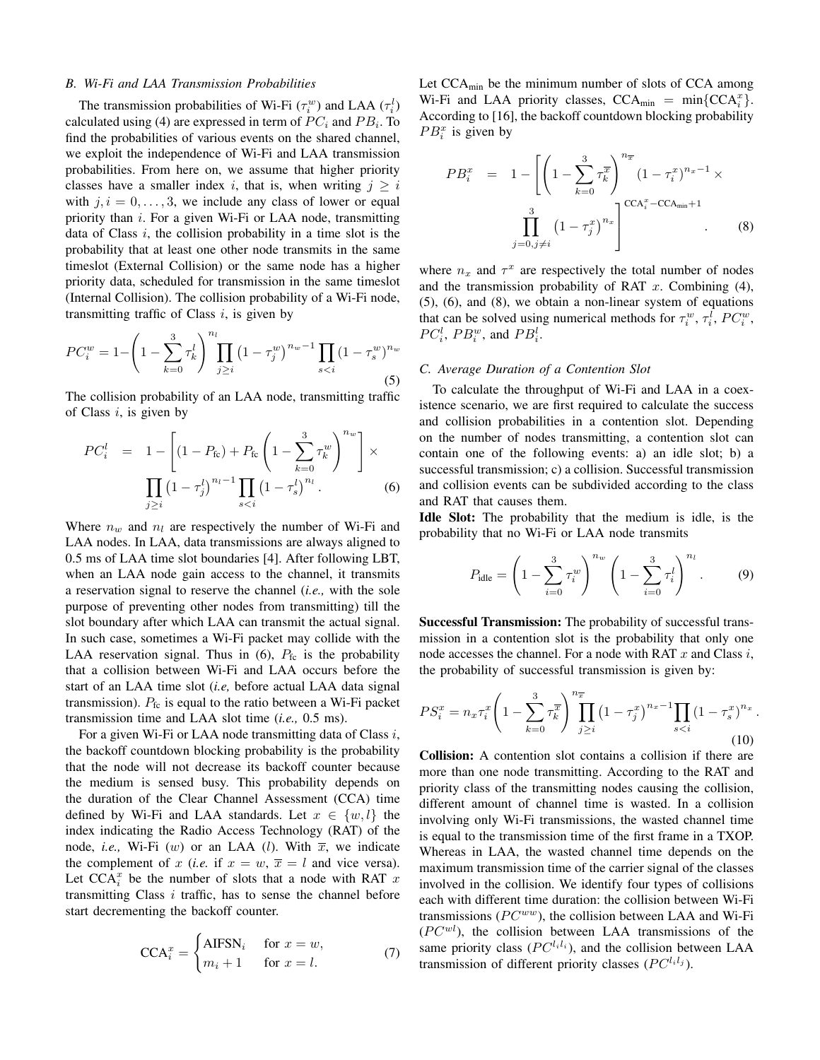#### *B. Wi-Fi and LAA Transmission Probabilities*

The transmission probabilities of Wi-Fi  $(\tau_i^w)$  and LAA  $(\tau_i^l)$ calculated using (4) are expressed in term of  $PC<sub>i</sub>$  and  $PB<sub>i</sub>$ . To find the probabilities of various events on the shared channel, we exploit the independence of Wi-Fi and LAA transmission probabilities. From here on, we assume that higher priority classes have a smaller index i, that is, when writing  $j \geq i$ with  $j, i = 0, \ldots, 3$ , we include any class of lower or equal priority than *i*. For a given Wi-Fi or LAA node, transmitting data of Class  $i$ , the collision probability in a time slot is the probability that at least one other node transmits in the same timeslot (External Collision) or the same node has a higher priority data, scheduled for transmission in the same timeslot (Internal Collision). The collision probability of a Wi-Fi node, transmitting traffic of Class  $i$ , is given by

$$
PC_i^w = 1 - \left(1 - \sum_{k=0}^3 \tau_k^l\right)^{n_l} \prod_{j \ge i} \left(1 - \tau_j^w\right)^{n_w - 1} \prod_{s < i} \left(1 - \tau_s^w\right)^{n_w} \tag{5}
$$

The collision probability of an LAA node, transmitting traffic of Class  $i$ , is given by

$$
PC_i^l = 1 - \left[ (1 - P_{\text{fc}}) + P_{\text{fc}} \left( 1 - \sum_{k=0}^3 \tau_k^w \right)^{n_w} \right] \times \prod_{j \ge i} \left( 1 - \tau_j^l \right)^{n_l - 1} \prod_{s < i} \left( 1 - \tau_s^l \right)^{n_l} . \tag{6}
$$

Where  $n_w$  and  $n_l$  are respectively the number of Wi-Fi and LAA nodes. In LAA, data transmissions are always aligned to 0.5 ms of LAA time slot boundaries [4]. After following LBT, when an LAA node gain access to the channel, it transmits a reservation signal to reserve the channel (*i.e.,* with the sole purpose of preventing other nodes from transmitting) till the slot boundary after which LAA can transmit the actual signal. In such case, sometimes a Wi-Fi packet may collide with the LAA reservation signal. Thus in  $(6)$ ,  $P_{\text{fc}}$  is the probability that a collision between Wi-Fi and LAA occurs before the start of an LAA time slot (*i.e,* before actual LAA data signal transmission).  $P_{\text{fc}}$  is equal to the ratio between a Wi-Fi packet transmission time and LAA slot time (*i.e.,* 0.5 ms).

For a given Wi-Fi or LAA node transmitting data of Class *i*, the backoff countdown blocking probability is the probability that the node will not decrease its backoff counter because the medium is sensed busy. This probability depends on the duration of the Clear Channel Assessment (CCA) time defined by Wi-Fi and LAA standards. Let  $x \in \{w, l\}$  the index indicating the Radio Access Technology (RAT) of the node, *i.e.*, Wi-Fi (w) or an LAA (*l*). With  $\overline{x}$ , we indicate the complement of x (*i.e.* if  $x = w$ ,  $\overline{x} = l$  and vice versa). Let  $\text{CCA}_i^x$  be the number of slots that a node with RAT x transmitting Class  $i$  traffic, has to sense the channel before start decrementing the backoff counter.

$$
CCAxi =\begin{cases} \text{AIFSN}_{i} & \text{for } x = w, \\ m_{i} + 1 & \text{for } x = l. \end{cases}
$$
 (7)

Let  $CCA_{\text{min}}$  be the minimum number of slots of CCA among Wi-Fi and LAA priority classes,  $CCA_{min} = min{CCA_i^x}$ . According to [16], the backoff countdown blocking probability  $PB_i^x$  is given by

$$
PB_i^x = 1 - \left[ \left( 1 - \sum_{k=0}^3 \tau_k^{\overline{x}} \right)^{n_{\overline{x}}} \left( 1 - \tau_i^x \right)^{n_x - 1} \times \prod_{j=0, j \neq i}^3 \left( 1 - \tau_j^x \right)^{n_x} \right]^{CCA_i^x - CCA_{\min} + 1} .
$$
 (8)

where  $n_x$  and  $\tau^x$  are respectively the total number of nodes and the transmission probability of RAT  $x$ . Combining (4), (5), (6), and (8), we obtain a non-linear system of equations that can be solved using numerical methods for  $\tau_i^w$ ,  $\tau_i^l$ ,  $PC_i^w$ ,  $PC_i^l$ ,  $PB_i^w$ , and  $PB_i^l$ .

### *C. Average Duration of a Contention Slot*

To calculate the throughput of Wi-Fi and LAA in a coexistence scenario, we are first required to calculate the success and collision probabilities in a contention slot. Depending on the number of nodes transmitting, a contention slot can contain one of the following events: a) an idle slot; b) a successful transmission; c) a collision. Successful transmission and collision events can be subdivided according to the class and RAT that causes them.

Idle Slot: The probability that the medium is idle, is the probability that no Wi-Fi or LAA node transmits

$$
P_{\text{idle}} = \left(1 - \sum_{i=0}^{3} \tau_i^w\right)^{n_w} \left(1 - \sum_{i=0}^{3} \tau_i^l\right)^{n_l}.
$$
 (9)

Successful Transmission: The probability of successful transmission in a contention slot is the probability that only one node accesses the channel. For a node with RAT  $x$  and Class  $i$ , the probability of successful transmission is given by:

$$
PS_i^x = n_x \tau_i^x \left( 1 - \sum_{k=0}^3 \tau_k^x \right) \prod_{j \ge i}^{n_x} \left( 1 - \tau_j^x \right)^{n_x - 1} \prod_{s < i} \left( 1 - \tau_s^x \right)^{n_x} \tag{10}
$$

.

Collision: A contention slot contains a collision if there are more than one node transmitting. According to the RAT and priority class of the transmitting nodes causing the collision, different amount of channel time is wasted. In a collision involving only Wi-Fi transmissions, the wasted channel time is equal to the transmission time of the first frame in a TXOP. Whereas in LAA, the wasted channel time depends on the maximum transmission time of the carrier signal of the classes involved in the collision. We identify four types of collisions each with different time duration: the collision between Wi-Fi transmissions ( $PC^{ww}$ ), the collision between LAA and Wi-Fi  $(PC<sup>wl</sup>)$ , the collision between LAA transmissions of the same priority class  $(PC^{l_i l_i})$ , and the collision between LAA transmission of different priority classes  $(PC^{l_i l_j}).$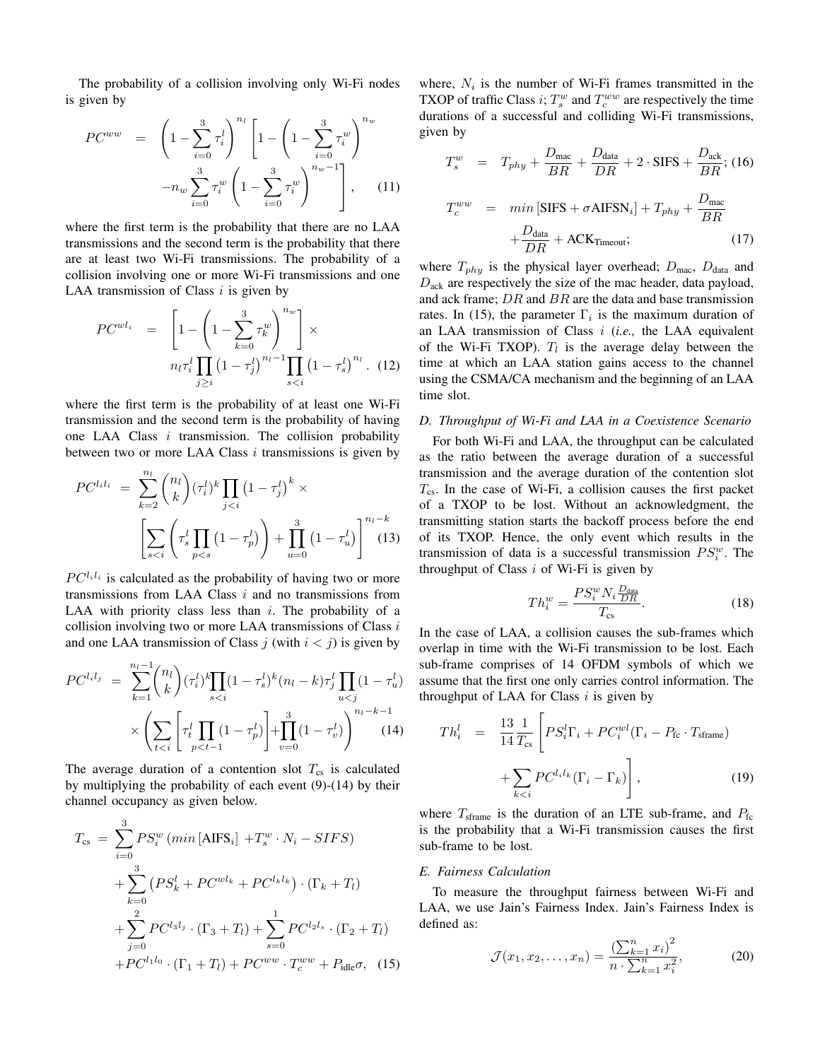The probability of a collision involving only Wi-Fi nodes is given by

$$
PC^{ww} = \left(1 - \sum_{i=0}^{3} \tau_i^l\right)^{n_l} \left[1 - \left(1 - \sum_{i=0}^{3} \tau_i^w\right)^{n_w}\right]
$$

$$
-n_w \sum_{i=0}^{3} \tau_i^w \left(1 - \sum_{i=0}^{3} \tau_i^w\right)^{n_w - 1}\right], \quad (11)
$$

where the first term is the probability that there are no LAA transmissions and the second term is the probability that there are at least two Wi-Fi transmissions. The probability of a collision involving one or more Wi-Fi transmissions and one LAA transmission of Class  $i$  is given by

$$
PC^{wl_i} = \left[1 - \left(1 - \sum_{k=0}^{3} \tau_k^w \right)^{n_w}\right] \times n_l \tau_i^l \prod_{j \ge i} \left(1 - \tau_j^l\right)^{n_l - 1} \prod_{s < i} \left(1 - \tau_s^l\right)^{n_l} . \tag{12}
$$

where the first term is the probability of at least one Wi-Fi transmission and the second term is the probability of having one LAA Class i transmission. The collision probability between two or more LAA Class  $i$  transmissions is given by

$$
PC^{l_i l_i} = \sum_{k=2}^{n_l} {n_l \choose k} (\tau_i^l)^k \prod_{j < i} (1 - \tau_j^l)^k \times \left[ \sum_{s < i} \left( \tau_s^l \prod_{p < s} (1 - \tau_p^l) \right) + \prod_{u=0}^3 (1 - \tau_u^l) \right]^{n_l - k} \tag{13}
$$

 $PC^{l_i l_i}$  is calculated as the probability of having two or more transmissions from LAA Class  $i$  and no transmissions from LAA with priority class less than  $i$ . The probability of a collision involving two or more LAA transmissions of Class  $i$ and one LAA transmission of Class j (with  $i < j$ ) is given by

$$
PC^{l_i l_j} = \sum_{k=1}^{n_l - 1} {n_l \choose k} (\tau_i^l)^k \prod_{s < i} (1 - \tau_s^l)^k (n_l - k) \tau_j^l \prod_{u < j} (1 - \tau_u^l)
$$
\n
$$
\times \left( \sum_{t < i} \left[ \tau_t^l \prod_{p < t-1} (1 - \tau_p^l) \right] + \prod_{v=0}^3 (1 - \tau_v^l) \right)^{n_l - k - 1} (14)
$$

The average duration of a contention slot  $T_{cs}$  is calculated by multiplying the probability of each event (9)-(14) by their channel occupancy as given below.

$$
T_{cs} = \sum_{i=0}^{3} PS_{i}^{w} (min [AIFS_{i}] + T_{s}^{w} \cdot N_{i} - SIFS)
$$
  
+ 
$$
\sum_{k=0}^{3} (PS_{k}^{l} + PC^{wl_{k}} + PC^{l_{k}l_{k}}) \cdot (\Gamma_{k} + T_{l})
$$
  
+ 
$$
\sum_{j=0}^{2} PC^{l_{3}l_{j}} \cdot (\Gamma_{3} + T_{l}) + \sum_{s=0}^{1} PC^{l_{2}l_{s}} \cdot (\Gamma_{2} + T_{l})
$$
  
+ 
$$
PC^{l_{1}l_{0}} \cdot (\Gamma_{1} + T_{l}) + PC^{ww} \cdot T_{c}^{ww} + P_{idle} \sigma, (15)
$$

where,  $N_i$  is the number of Wi-Fi frames transmitted in the TXOP of traffic Class *i*;  $T_s^w$  and  $T_c^{ww}$  are respectively the time durations of a successful and colliding Wi-Fi transmissions, given by

$$
T_s^w = T_{phy} + \frac{D_{\text{mac}}}{BR} + \frac{D_{\text{data}}}{DR} + 2 \cdot \text{SIFS} + \frac{D_{\text{ack}}}{BR}; (16)
$$
  

$$
T_c^{ww} = min \left[ \text{SIFS} + \sigma \text{AIFSN}_i \right] + T_{phy} + \frac{D_{\text{mac}}}{BR}
$$

$$
+\frac{D_{\text{data}}}{DR} + \text{ACK}_{\text{Timeout}};\tag{17}
$$

where  $T_{phy}$  is the physical layer overhead;  $D_{\text{mac}}$ ,  $D_{\text{data}}$  and  $D_{\text{ack}}$  are respectively the size of the mac header, data payload, and ack frame;  $DR$  and  $BR$  are the data and base transmission rates. In (15), the parameter  $\Gamma_i$  is the maximum duration of an LAA transmission of Class i (*i.e.,* the LAA equivalent of the Wi-Fi TXOP).  $T_l$  is the average delay between the time at which an LAA station gains access to the channel using the CSMA/CA mechanism and the beginning of an LAA time slot.

# *D. Throughput of Wi-Fi and LAA in a Coexistence Scenario*

For both Wi-Fi and LAA, the throughput can be calculated as the ratio between the average duration of a successful transmission and the average duration of the contention slot  $T_{cs}$ . In the case of Wi-Fi, a collision causes the first packet of a TXOP to be lost. Without an acknowledgment, the transmitting station starts the backoff process before the end of its TXOP. Hence, the only event which results in the transmission of data is a successful transmission  $PS_i^w$ . The throughput of Class  $i$  of Wi-Fi is given by

$$
Th_i^w = \frac{PS_i^w N_i \frac{D_{\text{data}}}{DR}}{T_{\text{cs}}}.
$$
\n(18)

In the case of LAA, a collision causes the sub-frames which overlap in time with the Wi-Fi transmission to be lost. Each sub-frame comprises of 14 OFDM symbols of which we assume that the first one only carries control information. The throughput of LAA for Class  $i$  is given by

$$
Th_i^l = \frac{13}{14} \frac{1}{T_{cs}} \left[ PS_i^l \Gamma_i + PC_i^{wl} (\Gamma_i - P_{\text{fc}} \cdot T_{\text{frame}}) + \sum_{k < i} PC_i^{l_i l_k} (\Gamma_i - \Gamma_k) \right],\tag{19}
$$

where  $T_{\text{sfname}}$  is the duration of an LTE sub-frame, and  $P_{\text{fc}}$ is the probability that a Wi-Fi transmission causes the first sub-frame to be lost.

#### *E. Fairness Calculation*

To measure the throughput fairness between Wi-Fi and LAA, we use Jain's Fairness Index. Jain's Fairness Index is defined as:

$$
\mathcal{J}(x_1, x_2, \dots, x_n) = \frac{\left(\sum_{k=1}^n x_i\right)^2}{n \cdot \sum_{k=1}^n x_i^2},\tag{20}
$$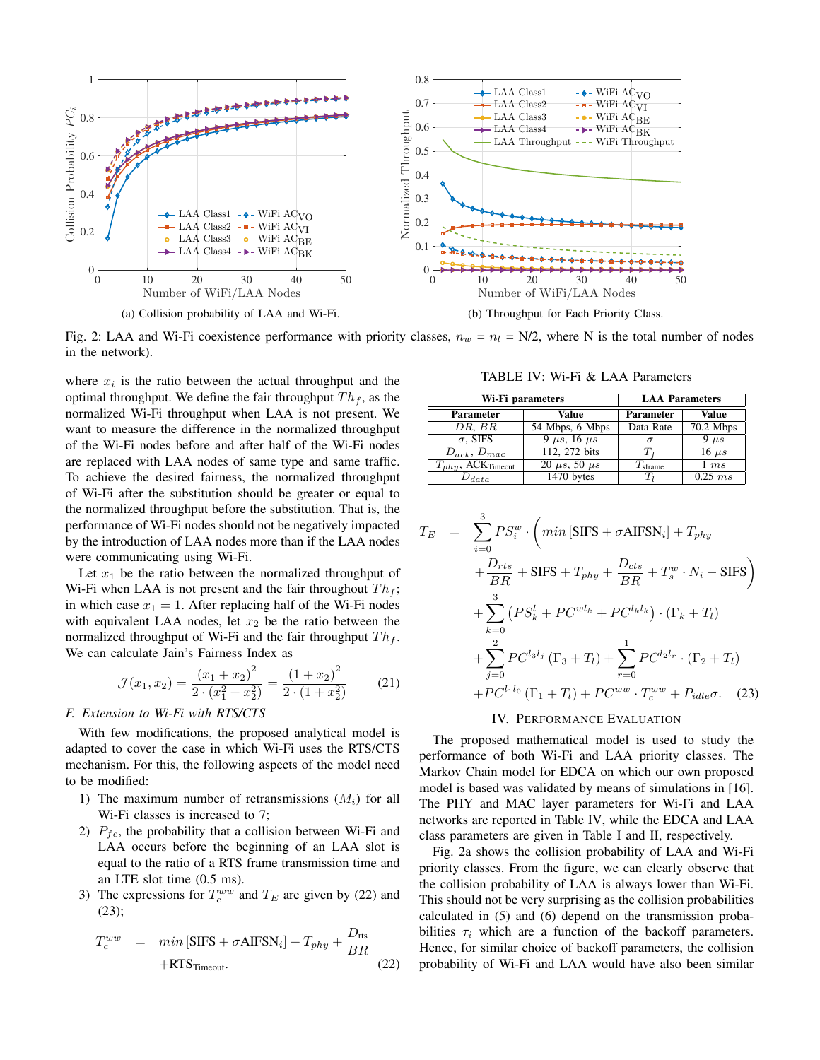

Fig. 2: LAA and Wi-Fi coexistence performance with priority classes,  $n_w = n_l = N/2$ , where N is the total number of nodes in the network).

where  $x_i$  is the ratio between the actual throughput and the optimal throughput. We define the fair throughput  $Th<sub>f</sub>$ , as the normalized Wi-Fi throughput when LAA is not present. We want to measure the difference in the normalized throughput of the Wi-Fi nodes before and after half of the Wi-Fi nodes are replaced with LAA nodes of same type and same traffic. To achieve the desired fairness, the normalized throughput of Wi-Fi after the substitution should be greater or equal to the normalized throughput before the substitution. That is, the performance of Wi-Fi nodes should not be negatively impacted by the introduction of LAA nodes more than if the LAA nodes were communicating using Wi-Fi.

Let  $x_1$  be the ratio between the normalized throughput of Wi-Fi when LAA is not present and the fair throughout  $Th_f$ ; in which case  $x_1 = 1$ . After replacing half of the Wi-Fi nodes with equivalent LAA nodes, let  $x_2$  be the ratio between the normalized throughput of Wi-Fi and the fair throughput  $Th<sub>f</sub>$ . We can calculate Jain's Fairness Index as

$$
\mathcal{J}(x_1, x_2) = \frac{(x_1 + x_2)^2}{2 \cdot (x_1^2 + x_2^2)} = \frac{(1 + x_2)^2}{2 \cdot (1 + x_2^2)}
$$
(21)

# *F. Extension to Wi-Fi with RTS/CTS*

With few modifications, the proposed analytical model is adapted to cover the case in which Wi-Fi uses the RTS/CTS mechanism. For this, the following aspects of the model need to be modified:

- 1) The maximum number of retransmissions  $(M_i)$  for all Wi-Fi classes is increased to 7;
- 2)  $P_{fc}$ , the probability that a collision between Wi-Fi and LAA occurs before the beginning of an LAA slot is equal to the ratio of a RTS frame transmission time and an LTE slot time (0.5 ms).
- 3) The expressions for  $T_c^{ww}$  and  $T_E$  are given by (22) and (23);

$$
T_c^{ww} = min [SIFS + \sigma AIFSN_i] + T_{phy} + \frac{D_{rts}}{BR}
$$
  
+RTS<sub>Timeout</sub>. (22)

TABLE IV: Wi-Fi & LAA Parameters

| Wi-Fi parameters                   | <b>LAA Parameters</b>   |                     |              |
|------------------------------------|-------------------------|---------------------|--------------|
| <b>Parameter</b>                   | Value                   | <b>Parameter</b>    | <b>Value</b> |
| DR, BR                             | 54 Mbps, 6 Mbps         | Data Rate           | $70.2$ Mbps  |
| $\sigma$ , SIFS                    | $9 \mu s$ , 16 $\mu s$  | $\sigma$            | $9 \mu s$    |
| $D_{ack}, D_{mac}$                 | 112, 272 bits           |                     | $16 \mu s$   |
| $T_{phy}$ , ACK <sub>Timeout</sub> | $20 \mu s$ , 50 $\mu s$ | $I_{\text{sframe}}$ | 1ms          |
| $J_{data}$                         | 1470 bytes              | Tı                  | $0.25$ ms    |

$$
T_E = \sum_{i=0}^{3} PS_i^w \cdot \left( min \left[ SIFS + \sigma AIFSN_i \right] + T_{phy} + \frac{D_{rts}}{BR} + SIFS + T_{phy} + \frac{D_{cts}}{BR} + T_s^w \cdot N_i - SIFS \right)
$$
  
+ 
$$
\sum_{k=0}^{3} \left( PS_k^l + PC^{wl_k} + PC^{l_k l_k} \right) \cdot \left( \Gamma_k + T_l \right)
$$
  
+ 
$$
\sum_{j=0}^{2} PC^{l_3 l_j} \left( \Gamma_3 + T_l \right) + \sum_{r=0}^{1} PC^{l_2 l_r} \cdot \left( \Gamma_2 + T_l \right)
$$
  
+ PC^{l\_1 l\_0} \left( \Gamma\_1 + T\_l \right) + PC^{ww} \cdot T\_c^{ww} + P\_{idle} \sigma. \quad (23)

#### IV. PERFORMANCE EVALUATION

The proposed mathematical model is used to study the performance of both Wi-Fi and LAA priority classes. The Markov Chain model for EDCA on which our own proposed model is based was validated by means of simulations in [16]. The PHY and MAC layer parameters for Wi-Fi and LAA networks are reported in Table IV, while the EDCA and LAA class parameters are given in Table I and II, respectively.

Fig. 2a shows the collision probability of LAA and Wi-Fi priority classes. From the figure, we can clearly observe that the collision probability of LAA is always lower than Wi-Fi. This should not be very surprising as the collision probabilities calculated in (5) and (6) depend on the transmission probabilities  $\tau_i$  which are a function of the backoff parameters. Hence, for similar choice of backoff parameters, the collision probability of Wi-Fi and LAA would have also been similar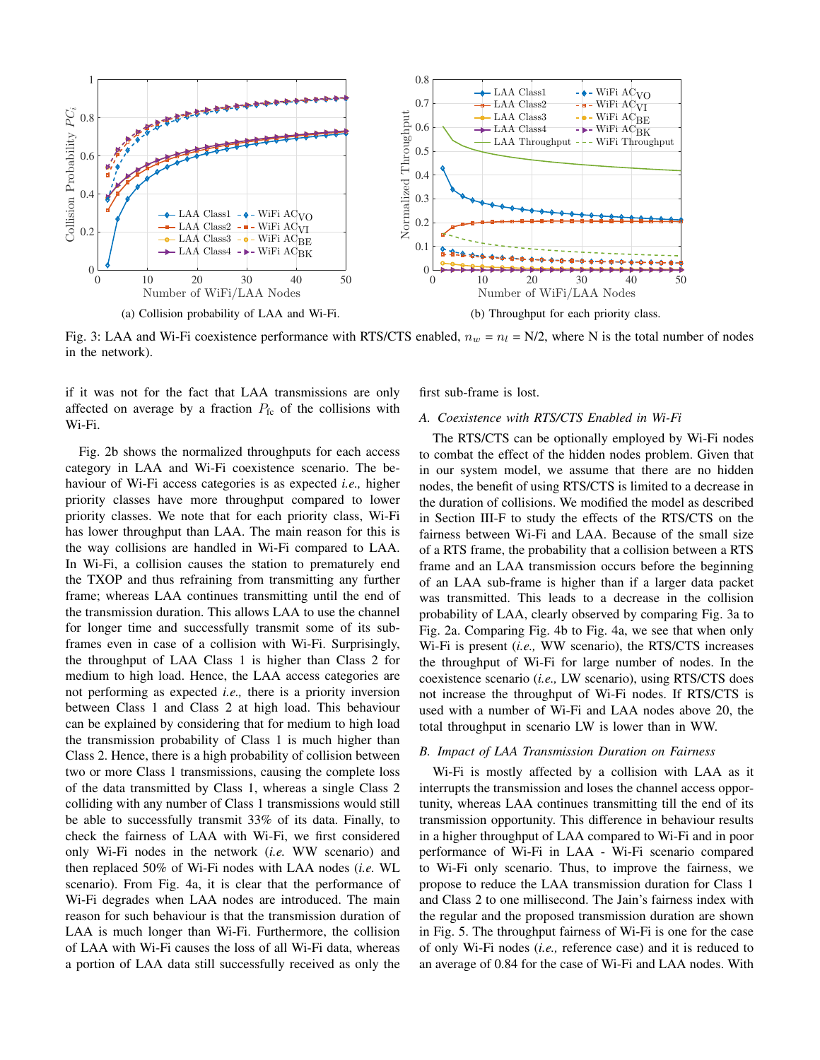

Fig. 3: LAA and Wi-Fi coexistence performance with RTS/CTS enabled,  $n_w = n_l = N/2$ , where N is the total number of nodes in the network).

if it was not for the fact that LAA transmissions are only affected on average by a fraction  $P_{\text{fc}}$  of the collisions with Wi-Fi.

Fig. 2b shows the normalized throughputs for each access category in LAA and Wi-Fi coexistence scenario. The behaviour of Wi-Fi access categories is as expected *i.e.,* higher priority classes have more throughput compared to lower priority classes. We note that for each priority class, Wi-Fi has lower throughput than LAA. The main reason for this is the way collisions are handled in Wi-Fi compared to LAA. In Wi-Fi, a collision causes the station to prematurely end the TXOP and thus refraining from transmitting any further frame; whereas LAA continues transmitting until the end of the transmission duration. This allows LAA to use the channel for longer time and successfully transmit some of its subframes even in case of a collision with Wi-Fi. Surprisingly, the throughput of LAA Class 1 is higher than Class 2 for medium to high load. Hence, the LAA access categories are not performing as expected *i.e.,* there is a priority inversion between Class 1 and Class 2 at high load. This behaviour can be explained by considering that for medium to high load the transmission probability of Class 1 is much higher than Class 2. Hence, there is a high probability of collision between two or more Class 1 transmissions, causing the complete loss of the data transmitted by Class 1, whereas a single Class 2 colliding with any number of Class 1 transmissions would still be able to successfully transmit 33% of its data. Finally, to check the fairness of LAA with Wi-Fi, we first considered only Wi-Fi nodes in the network (*i.e.* WW scenario) and then replaced 50% of Wi-Fi nodes with LAA nodes (*i.e.* WL scenario). From Fig. 4a, it is clear that the performance of Wi-Fi degrades when LAA nodes are introduced. The main reason for such behaviour is that the transmission duration of LAA is much longer than Wi-Fi. Furthermore, the collision of LAA with Wi-Fi causes the loss of all Wi-Fi data, whereas a portion of LAA data still successfully received as only the

first sub-frame is lost.

# *A. Coexistence with RTS/CTS Enabled in Wi-Fi*

The RTS/CTS can be optionally employed by Wi-Fi nodes to combat the effect of the hidden nodes problem. Given that in our system model, we assume that there are no hidden nodes, the benefit of using RTS/CTS is limited to a decrease in the duration of collisions. We modified the model as described in Section III-F to study the effects of the RTS/CTS on the fairness between Wi-Fi and LAA. Because of the small size of a RTS frame, the probability that a collision between a RTS frame and an LAA transmission occurs before the beginning of an LAA sub-frame is higher than if a larger data packet was transmitted. This leads to a decrease in the collision probability of LAA, clearly observed by comparing Fig. 3a to Fig. 2a. Comparing Fig. 4b to Fig. 4a, we see that when only Wi-Fi is present (*i.e.,* WW scenario), the RTS/CTS increases the throughput of Wi-Fi for large number of nodes. In the coexistence scenario (*i.e.,* LW scenario), using RTS/CTS does not increase the throughput of Wi-Fi nodes. If RTS/CTS is used with a number of Wi-Fi and LAA nodes above 20, the total throughput in scenario LW is lower than in WW.

#### *B. Impact of LAA Transmission Duration on Fairness*

Wi-Fi is mostly affected by a collision with LAA as it interrupts the transmission and loses the channel access opportunity, whereas LAA continues transmitting till the end of its transmission opportunity. This difference in behaviour results in a higher throughput of LAA compared to Wi-Fi and in poor performance of Wi-Fi in LAA - Wi-Fi scenario compared to Wi-Fi only scenario. Thus, to improve the fairness, we propose to reduce the LAA transmission duration for Class 1 and Class 2 to one millisecond. The Jain's fairness index with the regular and the proposed transmission duration are shown in Fig. 5. The throughput fairness of Wi-Fi is one for the case of only Wi-Fi nodes (*i.e.,* reference case) and it is reduced to an average of 0.84 for the case of Wi-Fi and LAA nodes. With